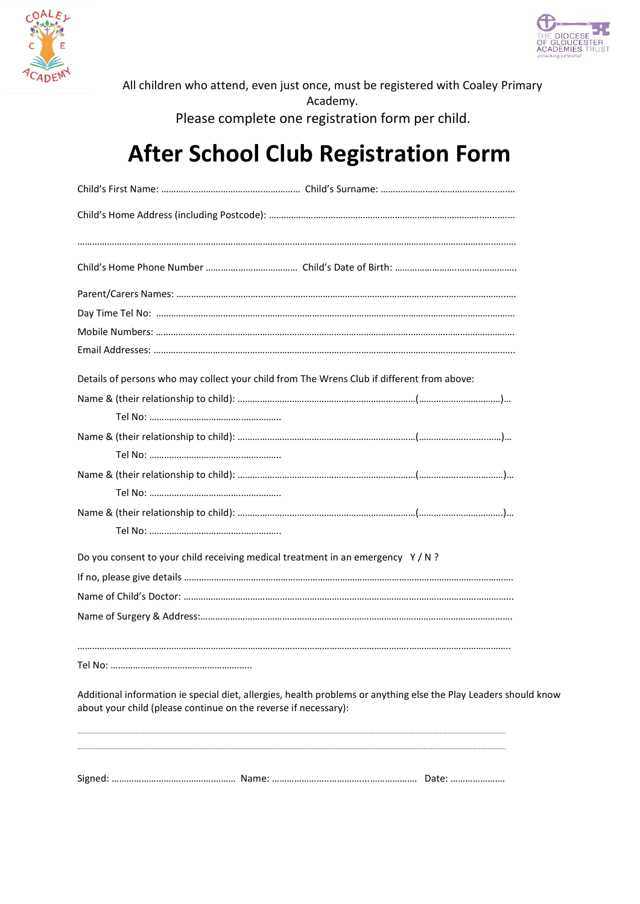



All children who attend, even just once, must be registered with Coaley Primary Academy. Please complete one registration form per child.

## **After School Club Registration Form**

|                                                                 | Details of persons who may collect your child from The Wrens Club if different from above:                       |  |
|-----------------------------------------------------------------|------------------------------------------------------------------------------------------------------------------|--|
|                                                                 |                                                                                                                  |  |
|                                                                 |                                                                                                                  |  |
|                                                                 |                                                                                                                  |  |
|                                                                 |                                                                                                                  |  |
|                                                                 |                                                                                                                  |  |
|                                                                 |                                                                                                                  |  |
|                                                                 |                                                                                                                  |  |
|                                                                 |                                                                                                                  |  |
|                                                                 | Do you consent to your child receiving medical treatment in an emergency Y/N?                                    |  |
|                                                                 |                                                                                                                  |  |
|                                                                 |                                                                                                                  |  |
|                                                                 |                                                                                                                  |  |
|                                                                 |                                                                                                                  |  |
| about your child (please continue on the reverse if necessary): | Additional information ie special diet, allergies, health problems or anything else the Play Leaders should know |  |
|                                                                 |                                                                                                                  |  |